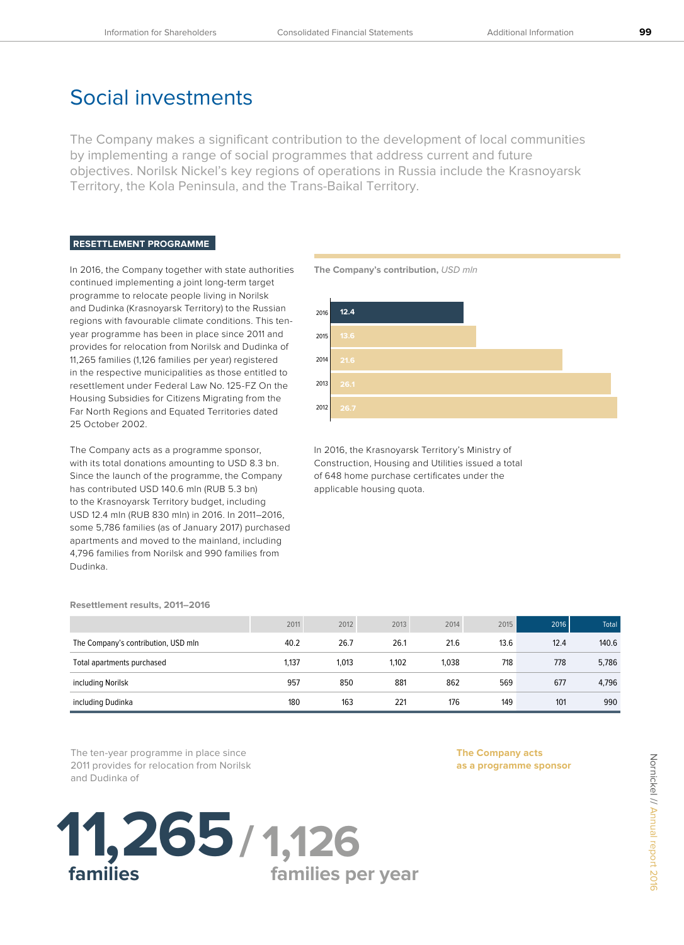## Social investments

The Company makes a significant contribution to the development of local communities by implementing a range of social programmes that address current and future objectives. Norilsk Nickel's key regions of operations in Russia include the Krasnoyarsk Territory, the Kola Peninsula, and the Trans-Baikal Territory.

## **RESETTLEMENT PROGRAMME**

In 2016, the Company together with state authorities continued implementing a joint long-term target programme to relocate people living in Norilsk and Dudinka (Krasnoyarsk Territory) to the Russian regions with favourable climate conditions. This tenyear programme has been in place since 2011 and provides for relocation from Norilsk and Dudinka of 11,265 families (1,126 families per year) registered in the respective municipalities as those entitled to resettlement under Federal Law No. 125-FZ On the Housing Subsidies for Citizens Migrating from the Far North Regions and Equated Territories dated 25 October 2002.

The Company acts as a programme sponsor, with its total donations amounting to USD 8.3 bn. Since the launch of the programme, the Company has contributed USD 140.6 mln (RUB 5.3 bn) to the Krasnoyarsk Territory budget, including USD 12.4 mln (RUB 830 mln) in 2016. In 2011–2016, some 5,786 families (as of January 2017) purchased apartments and moved to the mainland, including 4,796 families from Norilsk and 990 families from Dudinka.



In 2016, the Krasnoyarsk Territory's Ministry of Construction, Housing and Utilities issued a total of 648 home purchase certificates under the applicable housing quota.

|                                     | 2011  | 2012  | 2013  | 2014  | 2015 | 2016 | Total <sup>1</sup> |
|-------------------------------------|-------|-------|-------|-------|------|------|--------------------|
| The Company's contribution, USD mln | 40.2  | 26.7  | 26.1  | 21.6  | 13.6 | 12.4 | 140.6              |
| Total apartments purchased          | 1,137 | 1.013 | 1,102 | 1.038 | 718  | 778  | 5,786              |
| including Norilsk                   | 957   | 850   | 881   | 862   | 569  | 677  | 4,796              |
| including Dudinka                   | 180   | 163   | 221   | 176   | 149  | 101  | 990                |

**families per year**

The ten-year programme in place since 2011 provides for relocation from Norilsk and Dudinka of

 **families** 

**11,265 / 1,126**

**Resettlement results, 2011–2016**

**The Company acts as a programme sponsor**

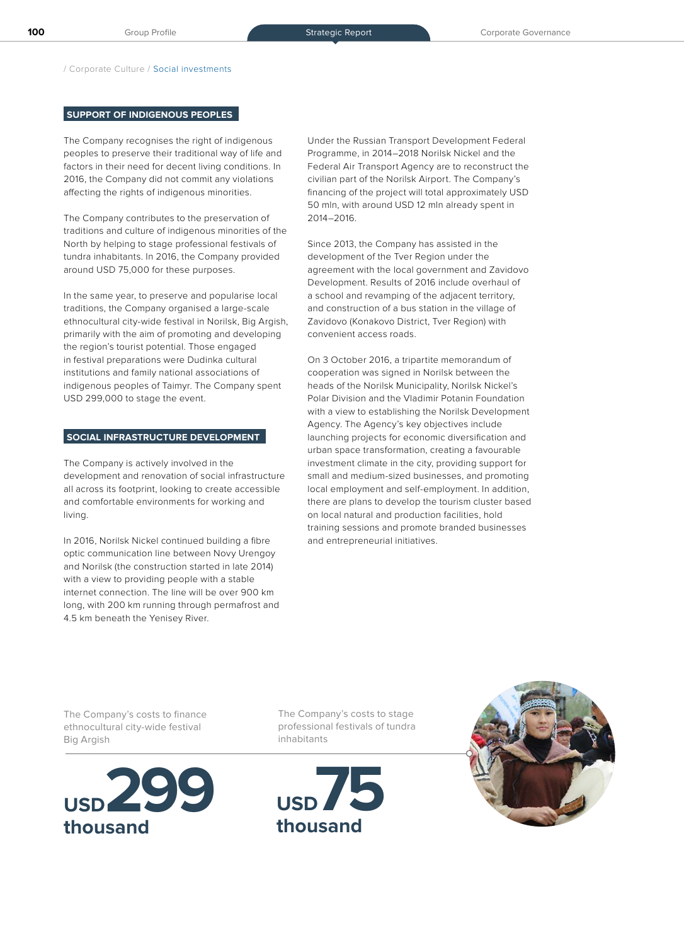/ Corporate Culture / Social investments

## **SUPPORT OF INDIGENOUS PEOPLES**

The Company recognises the right of indigenous peoples to preserve their traditional way of life and factors in their need for decent living conditions. In 2016, the Company did not commit any violations affecting the rights of indigenous minorities.

The Company contributes to the preservation of traditions and culture of indigenous minorities of the North by helping to stage professional festivals of tundra inhabitants. In 2016, the Company provided around USD 75,000 for these purposes.

In the same year, to preserve and popularise local traditions, the Company organised a large-scale ethnocultural city-wide festival in Norilsk, Big Argish, primarily with the aim of promoting and developing the region's tourist potential. Those engaged in festival preparations were Dudinka cultural institutions and family national associations of indigenous peoples of Taimyr. The Company spent USD 299,000 to stage the event.

## **SOCIAL INFRASTRUCTURE DEVELOPMENT**

The Company is actively involved in the development and renovation of social infrastructure all across its footprint, looking to create accessible and comfortable environments for working and living.

In 2016, Norilsk Nickel continued building a fibre optic communication line between Novy Urengoy and Norilsk (the construction started in late 2014) with a view to providing people with a stable internet connection. The line will be over 900 km long, with 200 km running through permafrost and 4.5 km beneath the Yenisey River.

Under the Russian Transport Development Federal Programme, in 2014–2018 Norilsk Nickel and the Federal Air Transport Agency are to reconstruct the civilian part of the Norilsk Airport. The Company's financing of the project will total approximately USD 50 mln, with around USD 12 mln already spent in 2014–2016.

Since 2013, the Company has assisted in the development of the Tver Region under the agreement with the local government and Zavidovo Development. Results of 2016 include overhaul of a school and revamping of the adjacent territory, and construction of a bus station in the village of Zavidovo (Konakovo District, Tver Region) with convenient access roads.

On 3 October 2016, a tripartite memorandum of cooperation was signed in Norilsk between the heads of the Norilsk Municipality, Norilsk Nickel's Polar Division and the Vladimir Potanin Foundation with a view to establishing the Norilsk Development Agency. The Agency's key objectives include launching projects for economic diversification and urban space transformation, creating a favourable investment climate in the city, providing support for small and medium-sized businesses, and promoting local employment and self-employment. In addition, there are plans to develop the tourism cluster based on local natural and production facilities, hold training sessions and promote branded businesses and entrepreneurial initiatives.

The Company's costs to finance ethnocultural city-wide festival Big Argish



The Company's costs to stage professional festivals of tundra inhabitants



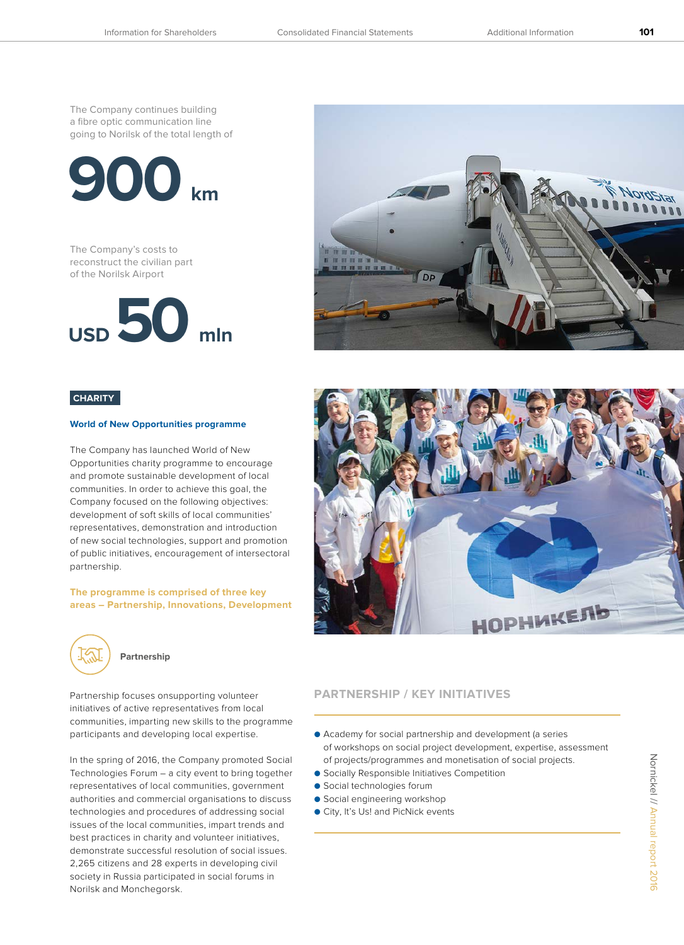The Company continues building a fibre optic communication line going to Norilsk of the total length of



The Company's costs to reconstruct the civilian part of the Norilsk Airport





## **World of New Opportunities programme**

The Company has launched World of New Opportunities charity programme to encourage and promote sustainable development of local communities. In order to achieve this goal, the Company focused on the following objectives: development of soft skills of local communities' representatives, demonstration and introduction of new social technologies, support and promotion of public initiatives, encouragement of intersectoral partnership.

**The programme is comprised of three key areas – Partnership, Innovations, Development**



## **Partnership**

initiatives of active representatives from local communities, imparting new skills to the programme participants and developing local expertise.

In the spring of 2016, the Company promoted Social Technologies Forum – a city event to bring together representatives of local communities, government authorities and commercial organisations to discuss technologies and procedures of addressing social issues of the local communities, impart trends and best practices in charity and volunteer initiatives, demonstrate successful resolution of social issues. 2,265 citizens and 28 experts in developing civil society in Russia participated in social forums in Norilsk and Monchegorsk.





## Partnership focuses onsupporting volunteer **PARTNERSHIP / KEY INITIATIVES**

- Academy for social partnership and development (a series of workshops on social project development, expertise, assessment of projects/programmes and monetisation of social projects.
- Socially Responsible Initiatives Competition
- Social technologies forum
- Social engineering workshop
- City, It's Us! and PicNick events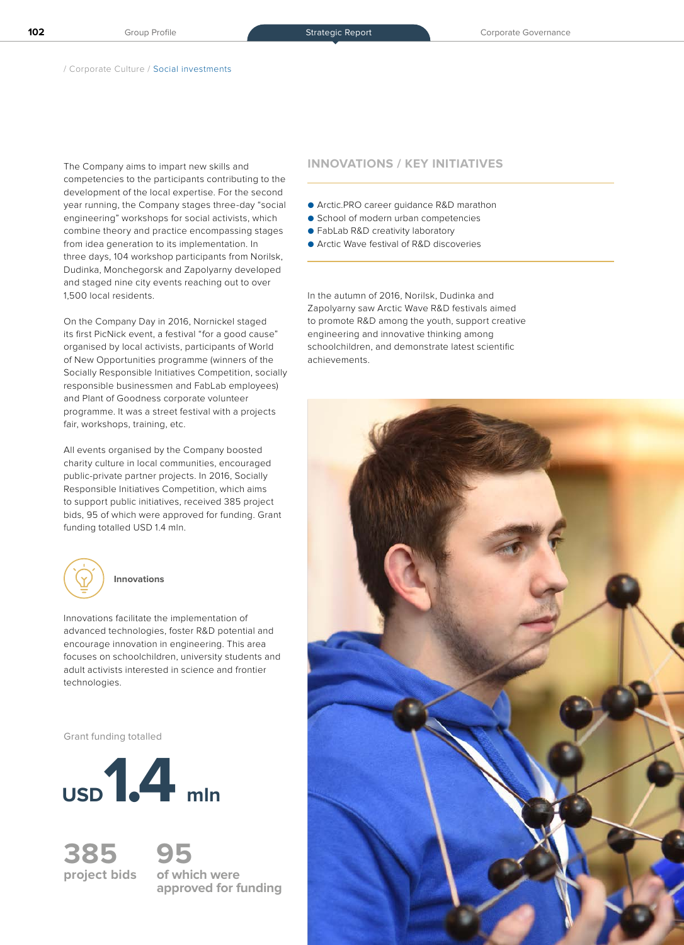The Company aims to impart new skills and **INNOVATIONS / KEY INITIATIVES** competencies to the participants contributing to the development of the local expertise. For the second year running, the Company stages three-day "social engineering" workshops for social activists, which combine theory and practice encompassing stages from idea generation to its implementation. In three days, 104 workshop participants from Norilsk, Dudinka, Monchegorsk and Zapolyarny developed and staged nine city events reaching out to over 1,500 local residents.

On the Company Day in 2016, Nornickel staged its first PicNick event, a festival "for a good cause" organised by local activists, participants of World of New Opportunities programme (winners of the Socially Responsible Initiatives Competition, socially responsible businessmen and FabLab employees) and Plant of Goodness corporate volunteer programme. It was a street festival with a projects fair, workshops, training, etc.

All events organised by the Company boosted charity culture in local communities, encouraged public-private partner projects. In 2016, Socially Responsible Initiatives Competition, which aims to support public initiatives, received 385 project bids, 95 of which were approved for funding. Grant funding totalled USD 1.4 mln.



# Innovations facilitate the implementation of

advanced technologies, foster R&D potential and encourage innovation in engineering. This area focuses on schoolchildren, university students and adult activists interested in science and frontier technologies.

Grant funding totalled



**385 95**

**project bids of which were approved for funding**

- Arctic.PRO career guidance R&D marathon
- School of modern urban competencies
- FabLab R&D creativity laboratory
- Arctic Wave festival of R&D discoveries

In the autumn of 2016, Norilsk, Dudinka and Zapolyarny saw Arctic Wave R&D festivals aimed to promote R&D among the youth, support creative engineering and innovative thinking among schoolchildren, and demonstrate latest scientific achievements.

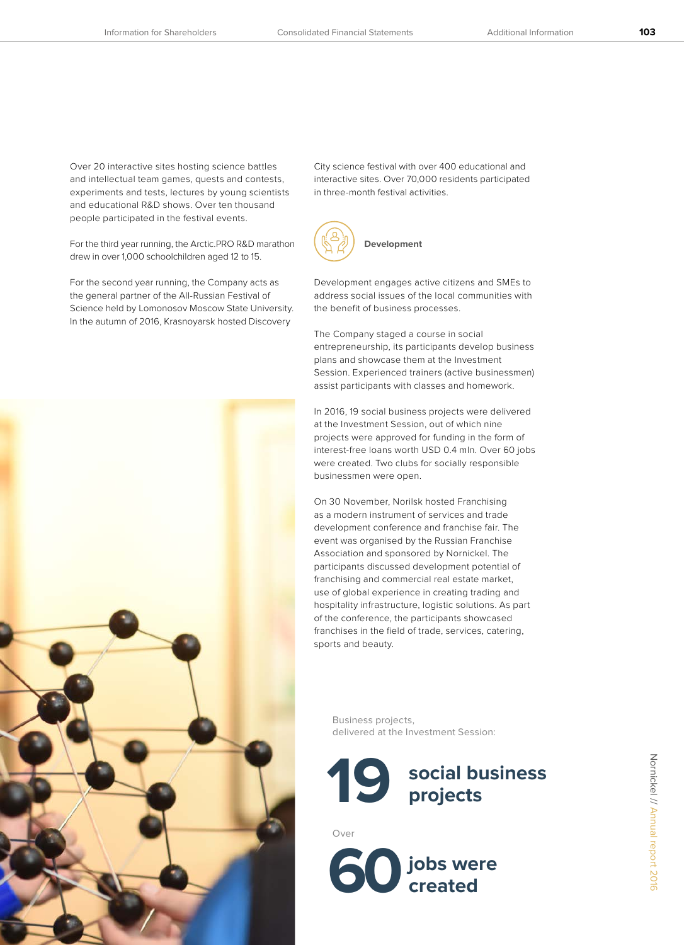Over 20 interactive sites hosting science battles and intellectual team games, quests and contests, experiments and tests, lectures by young scientists and educational R&D shows. Over ten thousand people participated in the festival events.

For the third year running, the Arctic.PRO R&D marathon drew in over 1,000 schoolchildren aged 12 to 15.

For the second year running, the Company acts as the general partner of the All-Russian Festival of Science held by Lomonosov Moscow State University. In the autumn of 2016, Krasnoyarsk hosted Discovery



City science festival with over 400 educational and interactive sites. Over 70,000 residents participated in three-month festival activities.



Development engages active citizens and SMEs to address social issues of the local communities with the benefit of business processes.

The Company staged a course in social entrepreneurship, its participants develop business plans and showcase them at the Investment Session. Experienced trainers (active businessmen) assist participants with classes and homework.

In 2016, 19 social business projects were delivered at the Investment Session, out of which nine projects were approved for funding in the form of interest-free loans worth USD 0.4 mln. Over 60 jobs were created. Two clubs for socially responsible businessmen were open.

On 30 November, Norilsk hosted Franchising as a modern instrument of services and trade development conference and franchise fair. The event was organised by the Russian Franchise Association and sponsored by Nornickel. The participants discussed development potential of franchising and commercial real estate market, use of global experience in creating trading and hospitality infrastructure, logistic solutions. As part of the conference, the participants showcased franchises in the field of trade, services, catering, sports and beauty.

Business projects, delivered at the Investment Session:



Over

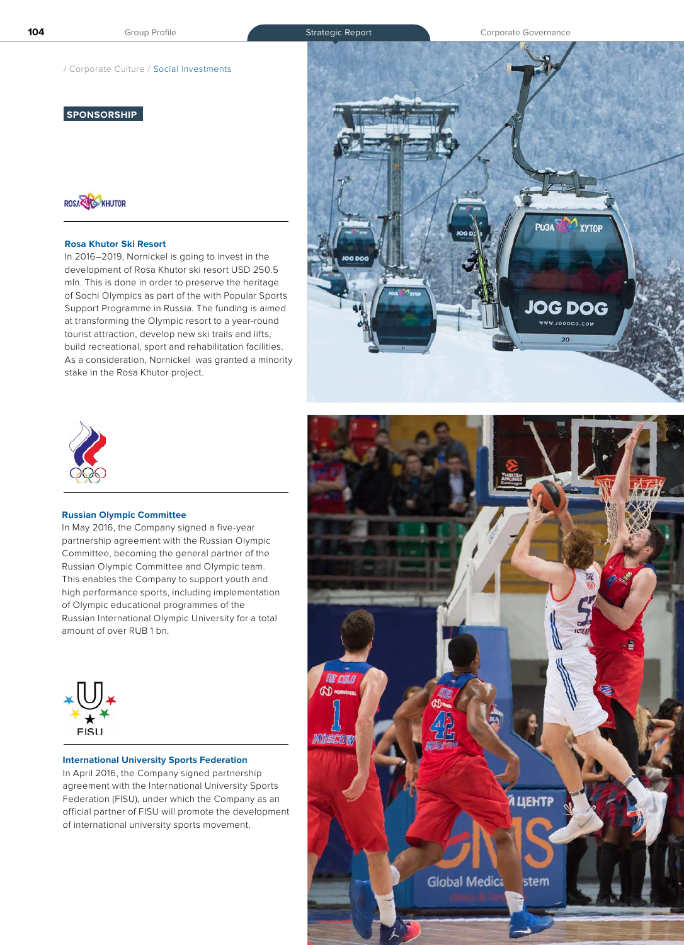/ Corporate Culture / Social investments

## **SPONSORSHIP**



## **Rosa Khutor Ski Resort**

In 2016–2019, Nornickel is going to invest in the development of Rosa Khutor ski resort USD 250.5 mln. This is done in order to preserve the heritage of Sochi Olympics as part of the with Popular Sports Support Programme in Russia. The funding is aimed at transforming the Olympic resort to a year-round tourist attraction, develop new ski trails and lifts, build recreational, sport and rehabilitation facilities. As a consideration, Nornickel was granted a minority stake in the Rosa Khutor project.



## **Russian Olympic Committee**

In May 2016, the Company signed a five-year partnership agreement with the Russian Olympic Committee, becoming the general partner of the Russian Olympic Committee and Olympic team. This enables the Company to support youth and high performance sports, including implementation of Olympic educational programmes of the Russian International Olympic University for a total amount of over RUB 1 bn.



## **International University Sports Federation**

In April 2016, the Company signed partnership agreement with the International University Sports Federation (FISU), under which the Company as an official partner of FISU will promote the development of international university sports movement.